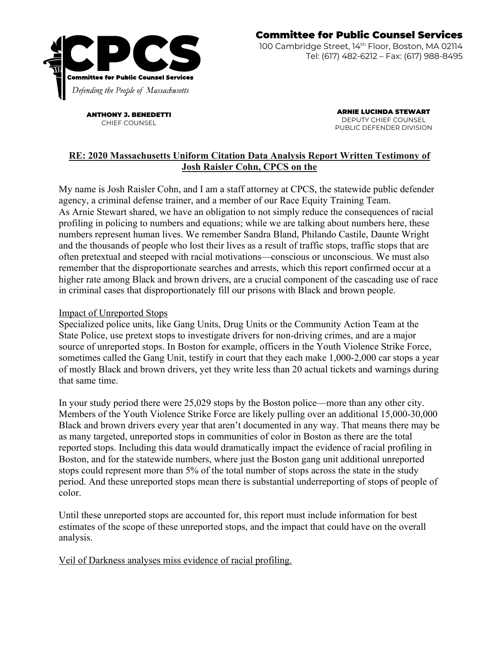

ANTHONY J. BENEDETTI CHIEF COUNSEL

ARNIE LUCINDA STEWART DEPUTY CHIEF COUNSEL PUBLIC DEFENDER DIVISION

## **RE: 2020 Massachusetts Uniform Citation Data Analysis Report Written Testimony of Josh Raisler Cohn, CPCS on the**

My name is Josh Raisler Cohn, and I am a staff attorney at CPCS, the statewide public defender agency, a criminal defense trainer, and a member of our Race Equity Training Team. As Arnie Stewart shared, we have an obligation to not simply reduce the consequences of racial profiling in policing to numbers and equations; while we are talking about numbers here, these numbers represent human lives. We remember Sandra Bland, Philando Castile, Daunte Wright and the thousands of people who lost their lives as a result of traffic stops, traffic stops that are often pretextual and steeped with racial motivations—conscious or unconscious. We must also remember that the disproportionate searches and arrests, which this report confirmed occur at a higher rate among Black and brown drivers, are a crucial component of the cascading use of race in criminal cases that disproportionately fill our prisons with Black and brown people.

## Impact of Unreported Stops

Specialized police units, like Gang Units, Drug Units or the Community Action Team at the State Police, use pretext stops to investigate drivers for non-driving crimes, and are a major source of unreported stops. In Boston for example, officers in the Youth Violence Strike Force, sometimes called the Gang Unit, testify in court that they each make 1,000-2,000 car stops a year of mostly Black and brown drivers, yet they write less than 20 actual tickets and warnings during that same time.

In your study period there were 25,029 stops by the Boston police—more than any other city. Members of the Youth Violence Strike Force are likely pulling over an additional 15,000-30,000 Black and brown drivers every year that aren't documented in any way. That means there may be as many targeted, unreported stops in communities of color in Boston as there are the total reported stops. Including this data would dramatically impact the evidence of racial profiling in Boston, and for the statewide numbers, where just the Boston gang unit additional unreported stops could represent more than 5% of the total number of stops across the state in the study period. And these unreported stops mean there is substantial underreporting of stops of people of color.

Until these unreported stops are accounted for, this report must include information for best estimates of the scope of these unreported stops, and the impact that could have on the overall analysis.

Veil of Darkness analyses miss evidence of racial profiling.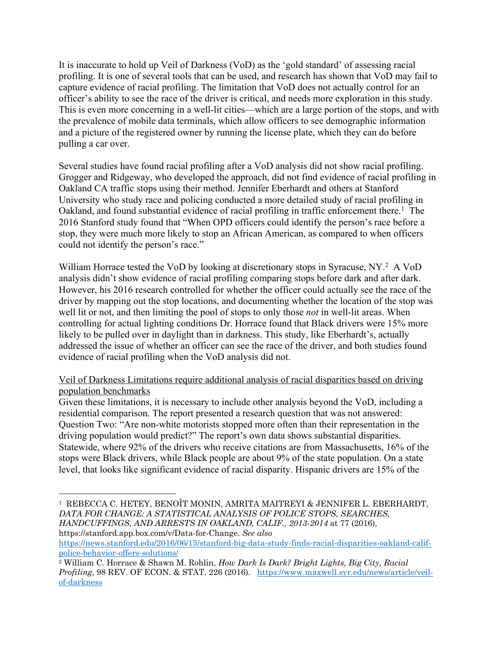It is inaccurate to hold up Veil of Darkness (VoD) as the 'gold standard' of assessing racial profiling. It is one of several tools that can be used, and research has shown that VoD may fail to capture evidence of racial profiling. The limitation that VoD does not actually control for an officer's ability to see the race of the driver is critical, and needs more exploration in this study. This is even more concerning in a well-lit cities—which are a large portion of the stops, and with the prevalence of mobile data terminals, which allow officers to see demographic information and a picture of the registered owner by running the license plate, which they can do before pulling a car over.

Several studies have found racial profiling after a VoD analysis did not show racial profiling. Grogger and Ridgeway, who developed the approach, did not find evidence of racial profiling in Oakland CA traffic stops using their method. Jennifer Eberhardt and others at Stanford University who study race and policing conducted a more detailed study of racial profiling in Oakland, and found substantial evidence of racial profiling in traffic enforcement there.<sup>1</sup> The 2016 Stanford study found that "When OPD officers could identify the person's race before a stop, they were much more likely to stop an African American, as compared to when officers could not identify the person's race."

William Horrace tested the VoD by looking at discretionary stops in Syracuse, NY.<sup>2</sup> A VoD analysis didn't show evidence of racial profiling comparing stops before dark and after dark. However, his 2016 research controlled for whether the officer could actually see the race of the driver by mapping out the stop locations, and documenting whether the location of the stop was well lit or not, and then limiting the pool of stops to only those *not* in well-lit areas. When controlling for actual lighting conditions Dr. Horrace found that Black drivers were 15% more likely to be pulled over in daylight than in darkness. This study, like Eberhardt's, actually addressed the issue of whether an officer can see the race of the driver, and both studies found evidence of racial profiling when the VoD analysis did not.

Veil of Darkness Limitations require additional analysis of racial disparities based on driving population benchmarks

Given these limitations, it is necessary to include other analysis beyond the VoD, including a residential comparison. The report presented a research question that was not answered: Question Two: "Are non-white motorists stopped more often than their representation in the driving population would predict?" The report's own data shows substantial disparities. Statewide, where 92% of the drivers who receive citations are from Massachusetts, 16% of the stops were Black drivers, while Black people are about 9% of the state population. On a state level, that looks like significant evidence of racial disparity. Hispanic drivers are 15% of the

```
police-behavior-offers-solutions/
```
<sup>1</sup> REBECCA C. HETEY, BENOÎT MONIN, AMRITA MAITREYI & JENNIFER L. EBERHARDT, *DATA FOR CHANGE: A STATISTICAL ANALYSIS OF POLICE STOPS, SEARCHES, HANDCUFFINGS, AND ARRESTS IN OAKLAND, CALIF., 2013-2014* at 77 (2016), https://stanford.app.box.com/v/Data-for-Change. *See also*  https://news.stanford.edu/2016/06/15/stanford-big-data-study-finds-racial-disparities-oakland-calif-

<sup>2</sup> William C. Horrace & Shawn M. Rohlin, *How Dark Is Dark? Bright Lights, Big City, Racial Profiling*, 98 REV. OF ECON. & STAT. 226 (2016). https://www.maxwell.syr.edu/news/article/veilof-darkness